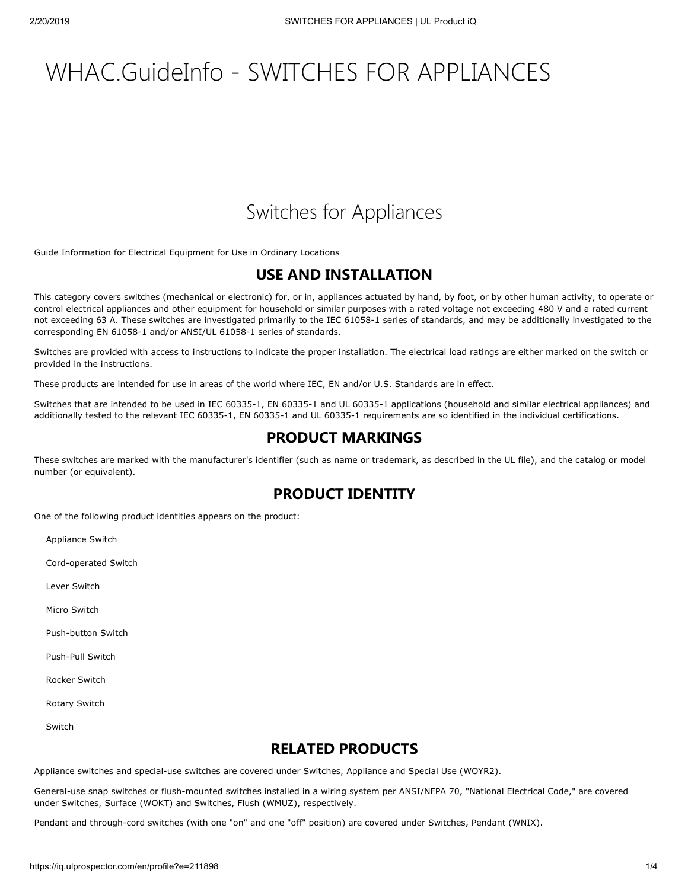# WHAC.GuideInfo - SWITCHES FOR APPLIANCES

# Switches for Appliances

[Guide Information for Electrical Equipment for Use in Ordinary Locations](https://database.ul.com/cgi-bin/XYV/cgifind/LISEXT/1FRAME/srchres.html?collection=/data3/verity_collections/lisext&vdkhome=/data3/verity_sw_rev24/common&SORT_BY=textlines:asc,ccnshorttitle:asc&query=AALZ+%3CIN%3ECCN+and+GUIDEINFO)

## **USE AND INSTALLATION**

This category covers switches (mechanical or electronic) for, or in, appliances actuated by hand, by foot, or by other human activity, to operate or control electrical appliances and other equipment for household or similar purposes with a rated voltage not exceeding 480 V and a rated current not exceeding 63 A. These switches are investigated primarily to the IEC 61058-1 series of standards, and may be additionally investigated to the corresponding EN 61058-1 and/or ANSI/UL 61058-1 series of standards.

Switches are provided with access to instructions to indicate the proper installation. The electrical load ratings are either marked on the switch or provided in the instructions.

These products are intended for use in areas of the world where IEC, EN and/or U.S. Standards are in effect.

Switches that are intended to be used in IEC 60335-1, EN 60335-1 and UL 60335-1 applications (household and similar electrical appliances) and additionally tested to the relevant IEC 60335-1, EN 60335-1 and UL 60335-1 requirements are so identified in the individual certifications.

# **PRODUCT MARKINGS**

These switches are marked with the manufacturer's identifier (such as name or trademark, as described in the UL file), and the catalog or model number (or equivalent).

## **PRODUCT IDENTITY**

One of the following product identities appears on the product:

Appliance Switch

Cord-operated Switch

Lever Switch

Micro Switch

Push-button Switch

Push-Pull Switch

Rocker Switch

Rotary Switch

Switch

## **RELATED PRODUCTS**

Appliance switches and special-use switches are covered under Switches, Appliance and Special Use ([WOYR2](https://database.ul.com/cgi-bin/XYV/cgifind/LISEXT/1FRAME/srchres.html?collection=/data3/verity_collections/lisext&vdkhome=/data3/verity_sw_rev24/common&SORT_BY=textlines:asc,ccnshorttitle:asc&query=WOYR2%3CIN%3ECCN+and+GuideInfo)).

General-use snap switches or flush-mounted switches installed in a wiring system per ANSI/NFPA 70, "National Electrical Code," are covered under Switches, Surface [\(WOKT](https://database.ul.com/cgi-bin/XYV/cgifind/LISEXT/1FRAME/srchres.html?collection=/data3/verity_collections/lisext&vdkhome=/data3/verity_sw_rev24/common&SORT_BY=textlines:asc,ccnshorttitle:asc&query=WOKT%3CIN%3ECCN+and+GuideInfo)) and Switches, Flush ([WMUZ](https://database.ul.com/cgi-bin/XYV/cgifind/LISEXT/1FRAME/srchres.html?collection=/data3/verity_collections/lisext&vdkhome=/data3/verity_sw_rev24/common&SORT_BY=textlines:asc,ccnshorttitle:asc&query=WMUZ%3CIN%3ECCN+and+GuideInfo)), respectively.

Pendant and through-cord switches (with one "on" and one "off" position) are covered under Switches, Pendant ([WNIX](https://database.ul.com/cgi-bin/XYV/cgifind/LISEXT/1FRAME/srchres.html?collection=/data3/verity_collections/lisext&vdkhome=/data3/verity_sw_rev24/common&SORT_BY=textlines:asc,ccnshorttitle:asc&query=WNIX%3CIN%3ECCN+and+GuideInfo)).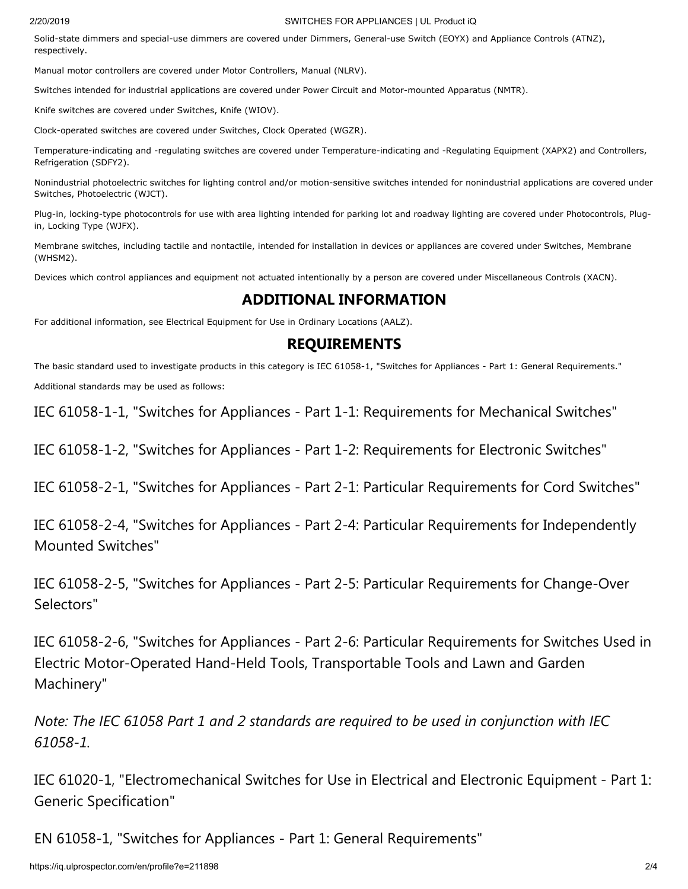#### 2/20/2019 SWITCHES FOR APPLIANCES | UL Product iQ

Solid-state dimmers and special-use dimmers are covered under Dimmers, General-use Switch ([EOYX](https://database.ul.com/cgi-bin/XYV/cgifind/LISEXT/1FRAME/srchres.html?collection=/data3/verity_collections/lisext&vdkhome=/data3/verity_sw_rev24/common&SORT_BY=textlines:asc,ccnshorttitle:asc&query=EOYX%3CIN%3ECCN+and+GuideInfo)) and Appliance Controls [\(ATNZ\)](https://database.ul.com/cgi-bin/XYV/cgifind/LISEXT/1FRAME/srchres.html?collection=/data3/verity_collections/lisext&vdkhome=/data3/verity_sw_rev24/common&SORT_BY=textlines:asc,ccnshorttitle:asc&query=ATNZ%3CIN%3ECCN+and+GuideInfo), respectively.

Manual motor controllers are covered under Motor Controllers, Manual ([NLRV\)](https://database.ul.com/cgi-bin/XYV/cgifind/LISEXT/1FRAME/srchres.html?collection=/data3/verity_collections/lisext&vdkhome=/data3/verity_sw_rev24/common&SORT_BY=textlines:asc,ccnshorttitle:asc&query=NLRV%3CIN%3ECCN+and+GuideInfo).

Switches intended for industrial applications are covered under Power Circuit and Motor-mounted Apparatus [\(NMTR](https://database.ul.com/cgi-bin/XYV/cgifind/LISEXT/1FRAME/srchres.html?collection=/data3/verity_collections/lisext&vdkhome=/data3/verity_sw_rev24/common&SORT_BY=textlines:asc,ccnshorttitle:asc&query=NMTR%3CIN%3ECCN+and+GuideInfo)).

Knife switches are covered under Switches, Knife ([WIOV\)](https://database.ul.com/cgi-bin/XYV/cgifind/LISEXT/1FRAME/srchres.html?collection=/data3/verity_collections/lisext&vdkhome=/data3/verity_sw_rev24/common&SORT_BY=textlines:asc,ccnshorttitle:asc&query=WIOV%3CIN%3ECCN+and+GuideInfo).

Clock-operated switches are covered under Switches, Clock Operated ([WGZR](https://database.ul.com/cgi-bin/XYV/cgifind/LISEXT/1FRAME/srchres.html?collection=/data3/verity_collections/lisext&vdkhome=/data3/verity_sw_rev24/common&SORT_BY=textlines:asc,ccnshorttitle:asc&query=WGZR%3CIN%3ECCN+and+GuideInfo)).

Temperature-indicating and -regulating switches are covered under Temperature-indicating and -Regulating Equipment ([XAPX2](https://database.ul.com/cgi-bin/XYV/cgifind/LISEXT/1FRAME/srchres.html?collection=/data3/verity_collections/lisext&vdkhome=/data3/verity_sw_rev24/common&SORT_BY=textlines:asc,ccnshorttitle:asc&query=XAPX2%3CIN%3ECCN+and+GuideInfo)) and Controllers, Refrigeration ([SDFY2](https://database.ul.com/cgi-bin/XYV/cgifind/LISEXT/1FRAME/srchres.html?collection=/data3/verity_collections/lisext&vdkhome=/data3/verity_sw_rev24/common&SORT_BY=textlines:asc,ccnshorttitle:asc&query=SDFY2%3CIN%3ECCN+and+GuideInfo)).

Nonindustrial photoelectric switches for lighting control and/or motion-sensitive switches intended for nonindustrial applications are covered under Switches, Photoelectric ([WJCT\)](https://database.ul.com/cgi-bin/XYV/cgifind/LISEXT/1FRAME/srchres.html?collection=/data3/verity_collections/lisext&vdkhome=/data3/verity_sw_rev24/common&SORT_BY=textlines:asc,ccnshorttitle:asc&query=WJCT%3CIN%3ECCN+and+GuideInfo).

Plug-in, locking-type photocontrols for use with area lighting intended for parking lot and roadway lighting are covered under Photocontrols, Plugin, Locking Type ([WJFX\)](https://database.ul.com/cgi-bin/XYV/cgifind/LISEXT/1FRAME/srchres.html?collection=/data3/verity_collections/lisext&vdkhome=/data3/verity_sw_rev24/common&SORT_BY=textlines:asc,ccnshorttitle:asc&query=WJFX%3CIN%3ECCN+and+GuideInfo).

Membrane switches, including tactile and nontactile, intended for installation in devices or appliances are covered under Switches, Membrane ([WHSM2\)](https://database.ul.com/cgi-bin/XYV/cgifind/LISEXT/1FRAME/srchres.html?collection=/data3/verity_collections/lisext&vdkhome=/data3/verity_sw_rev24/common&SORT_BY=textlines:asc,ccnshorttitle:asc&query=WHSM2%3CIN%3ECCN+and+GuideInfo).

Devices which control appliances and equipment not actuated intentionally by a person are covered under Miscellaneous Controls ([XACN\)](https://database.ul.com/cgi-bin/XYV/cgifind/LISEXT/1FRAME/srchres.html?collection=/data3/verity_collections/lisext&vdkhome=/data3/verity_sw_rev24/common&SORT_BY=textlines:asc,ccnshorttitle:asc&query=XACN%3CIN%3ECCN+and+GuideInfo).

## **ADDITIONAL INFORMATION**

For additional information, see Electrical Equipment for Use in Ordinary Locations ([AALZ](https://database.ul.com/cgi-bin/XYV/cgifind/LISEXT/1FRAME/srchres.html?collection=/data3/verity_collections/lisext&vdkhome=/data3/verity_sw_rev24/common&SORT_BY=textlines:asc,ccnshorttitle:asc&query=AALZ%3CIN%3ECCN+and+GuideInfo)).

#### **REQUIREMENTS**

The basic standard used to investigate products in this category is IEC 61058-1, "Switches for Appliances - Part 1: General Requirements." Additional standards may be used as follows:

IEC 61058-1-1, "Switches for Appliances - Part 1-1: Requirements for Mechanical Switches"

IEC 61058-1-2, "Switches for Appliances - Part 1-2: Requirements for Electronic Switches"

IEC 61058-2-1, "Switches for Appliances - Part 2-1: Particular Requirements for Cord Switches"

IEC 61058-2-4, "Switches for Appliances - Part 2-4: Particular Requirements for Independently Mounted Switches"

IEC 61058-2-5, "Switches for Appliances - Part 2-5: Particular Requirements for Change-Over Selectors"

IEC 61058-2-6, "Switches for Appliances - Part 2-6: Particular Requirements for Switches Used in Electric Motor-Operated Hand-Held Tools, Transportable Tools and Lawn and Garden Machinery"

*Note: The IEC 61058 Part 1 and 2 standards are required to be used in conjunction with IEC 61058-1.*

IEC 61020-1, "Electromechanical Switches for Use in Electrical and Electronic Equipment - Part 1: Generic Specification"

EN 61058-1, "Switches for Appliances - Part 1: General Requirements"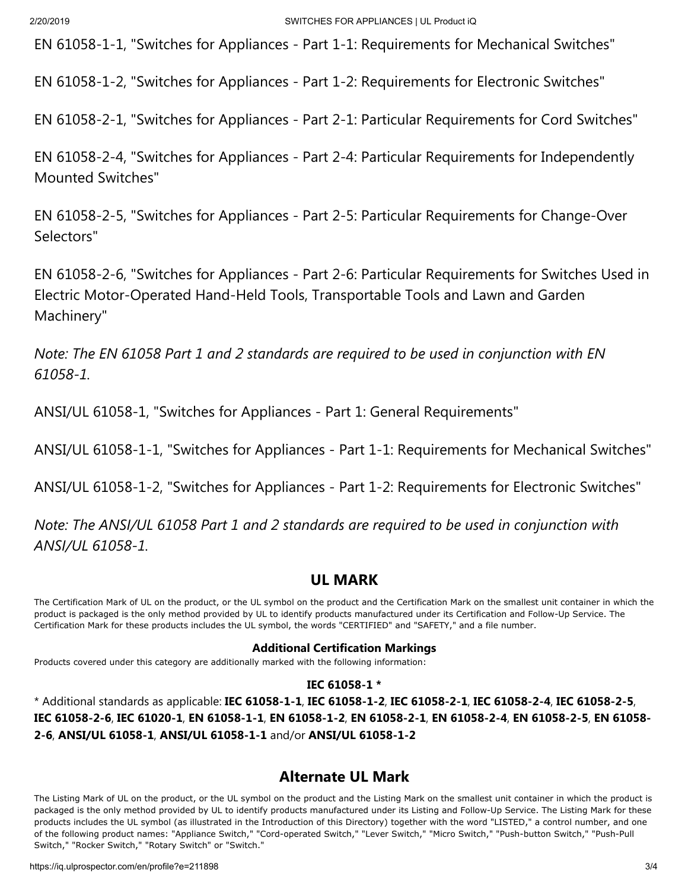EN 61058-1-1, "Switches for Appliances - Part 1-1: Requirements for Mechanical Switches"

EN 61058-1-2, "Switches for Appliances - Part 1-2: Requirements for Electronic Switches"

EN 61058-2-1, "Switches for Appliances - Part 2-1: Particular Requirements for Cord Switches"

EN 61058-2-4, "Switches for Appliances - Part 2-4: Particular Requirements for Independently Mounted Switches"

EN 61058-2-5, "Switches for Appliances - Part 2-5: Particular Requirements for Change-Over Selectors"

EN 61058-2-6, "Switches for Appliances - Part 2-6: Particular Requirements for Switches Used in Electric Motor-Operated Hand-Held Tools, Transportable Tools and Lawn and Garden Machinery"

*Note: The EN 61058 Part 1 and 2 standards are required to be used in conjunction with EN 61058-1.*

[ANSI/UL 61058-1](https://standardscatalog.ul.com/standards/en/standard_61058-1), "Switches for Appliances - Part 1: General Requirements"

[ANSI/UL 61058-1-1](https://standardscatalog.ul.com/standards/en/standard_61058-1-1), "Switches for Appliances - Part 1-1: Requirements for Mechanical Switches"

[ANSI/UL 61058-1-2](https://standardscatalog.ul.com/standards/en/standard_61058-1-2), "Switches for Appliances - Part 1-2: Requirements for Electronic Switches"

*Note: The ANSI/UL 61058 Part 1 and 2 standards are required to be used in conjunction with ANSI/UL 61058-1.*

# **UL MARK**

The Certification Mark of UL on the product, or the UL symbol on the product and the Certification Mark on the smallest unit container in which the product is packaged is the only method provided by UL to identify products manufactured under its Certification and Follow-Up Service. The [Certification Mark](https://markshub.ul.com/) for these products includes the UL symbol, the words "CERTIFIED" and "SAFETY," and a file number.

#### **Additional Certification Markings**

Products covered under this category are additionally marked with the following information:

#### **IEC 61058-1 \***

\* Additional standards as applicable: **IEC 61058-1-1**, **IEC 61058-1-2**, **IEC 61058-2-1**, **IEC 61058-2-4**, **IEC 61058-2-5**, **IEC 61058-2-6**, **IEC 61020-1**, **EN 61058-1-1**, **EN 61058-1-2**, **EN 61058-2-1**, **EN 61058-2-4**, **EN 61058-2-5**, **EN 61058- 2-6**, **ANSI/UL 61058-1**, **ANSI/UL 61058-1-1** and/or **ANSI/UL 61058-1-2**

## **Alternate UL Mark**

The Listing Mark of UL on the product, or the UL symbol on the product and the Listing Mark on the smallest unit container in which the product is packaged is the only method provided by UL to identify products manufactured under its Listing and Follow-Up Service. The Listing Mark for these products includes the UL symbol (as illustrated in the Introduction of this Directory) together with the word "LISTED," a control number, and one of the following product names: "Appliance Switch," "Cord-operated Switch," "Lever Switch," "Micro Switch," "Push-button Switch," "Push-Pull Switch," "Rocker Switch," "Rotary Switch" or "Switch."